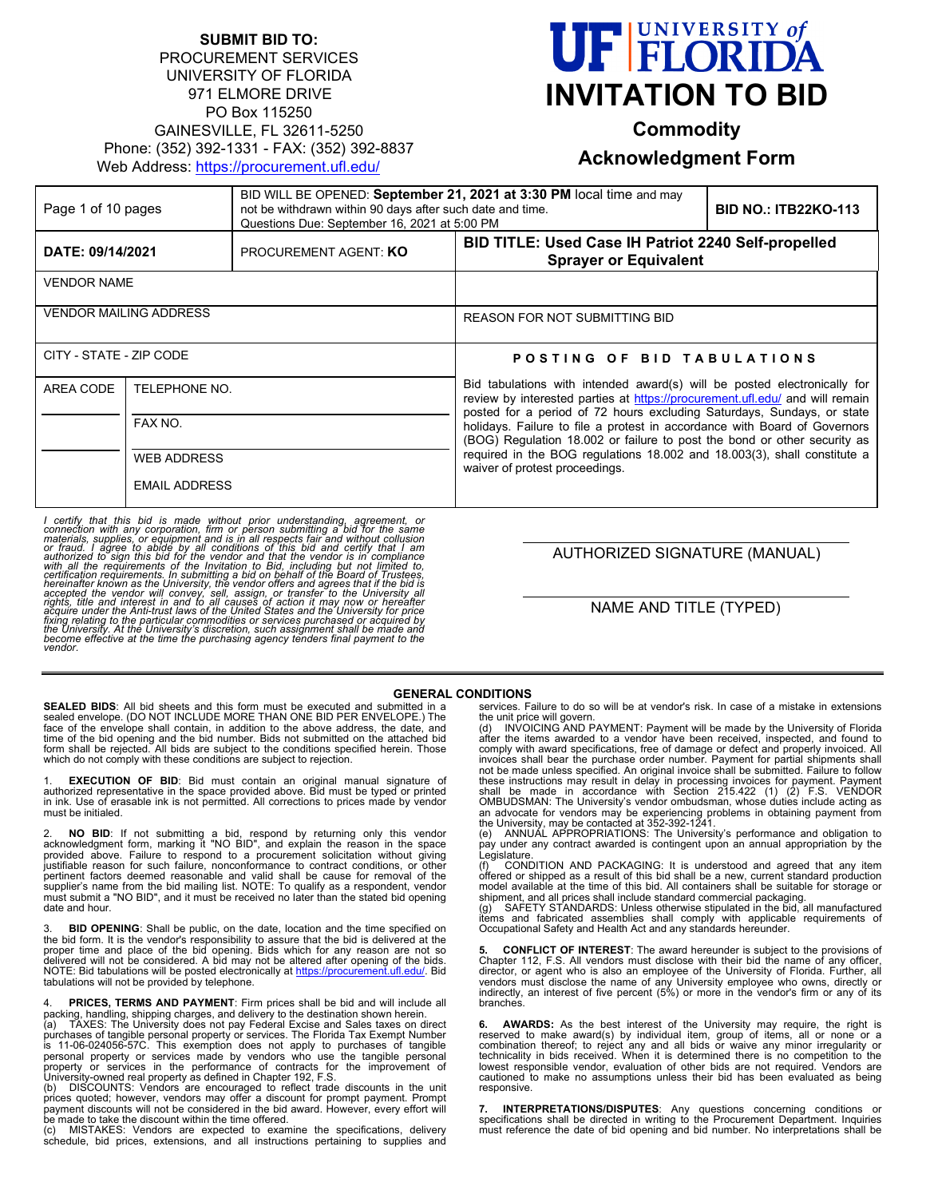## **SUBMIT BID TO:** PROCUREMENT SERVICES UNIVERSITY OF FLORIDA 971 ELMORE DRIVE PO Box 115250 GAINESVILLE, FL 32611-5250 Phone: (352) 392-1331 - FAX: (352) 392-8837 Web Address:<https://procurement.ufl.edu/>



**Commodity**

# **Acknowledgment Form**

| Page 1 of 10 pages            |                          | BID WILL BE OPENED: September 21, 2021 at 3:30 PM local time and may<br>not be withdrawn within 90 days after such date and time.<br>Questions Due: September 16, 2021 at 5:00 PM |                                                                                                                                                                                                                                    | <b>BID NO.: ITB22KO-113</b>                                                                                                                           |
|-------------------------------|--------------------------|-----------------------------------------------------------------------------------------------------------------------------------------------------------------------------------|------------------------------------------------------------------------------------------------------------------------------------------------------------------------------------------------------------------------------------|-------------------------------------------------------------------------------------------------------------------------------------------------------|
| DATE: 09/14/2021              |                          | PROCUREMENT AGENT: KO                                                                                                                                                             | BID TITLE: Used Case IH Patriot 2240 Self-propelled<br><b>Sprayer or Equivalent</b>                                                                                                                                                |                                                                                                                                                       |
| <b>VENDOR NAME</b>            |                          |                                                                                                                                                                                   |                                                                                                                                                                                                                                    |                                                                                                                                                       |
| <b>VENDOR MAILING ADDRESS</b> |                          |                                                                                                                                                                                   | <b>REASON FOR NOT SUBMITTING BID</b>                                                                                                                                                                                               |                                                                                                                                                       |
| CITY - STATE - ZIP CODE       |                          |                                                                                                                                                                                   | POSTING OF BID TABULATIONS                                                                                                                                                                                                         |                                                                                                                                                       |
| AREA CODE                     | TELEPHONE NO.<br>FAX NO. |                                                                                                                                                                                   | Bid tabulations with intended award(s) will be posted electronically for<br>review by interested parties at https://procurement.ufl.edu/ and will remain<br>posted for a period of 72 hours excluding Saturdays, Sundays, or state |                                                                                                                                                       |
|                               |                          |                                                                                                                                                                                   |                                                                                                                                                                                                                                    | holidays. Failure to file a protest in accordance with Board of Governors<br>(BOG) Regulation 18.002 or failure to post the bond or other security as |
|                               | <b>WEB ADDRESS</b>       |                                                                                                                                                                                   | required in the BOG regulations 18.002 and 18.003(3), shall constitute a<br>waiver of protest proceedings.                                                                                                                         |                                                                                                                                                       |
|                               | <b>EMAIL ADDRESS</b>     |                                                                                                                                                                                   |                                                                                                                                                                                                                                    |                                                                                                                                                       |

I certify that this bid is made without prior understanding, agreement, or<br>connection with any corporation, firm or person submitting a bid for the same<br>materials, supplies, or equipment and is in all respects fair and wit acquire under the Anti-trust laws of the United States and the University for price<br>fixing relating to the particular commodities or services purchased or acquired by<br>the University. At the University's discretion, such as

AUTHORIZED SIGNATURE (MANUAL)

NAME AND TITLE (TYPED)

#### **GENERAL CONDITIONS**

**SEALED BIDS**: All bid sheets and this form must be executed and submitted in a sealed envelope. (DO NOT INCLUDE MORE THAN ONE BID PER ENVELOPE.) The<br>face of the envelope shall contain, in addition to the above address, the date, and<br>time of the bid opening and the bid number. Bids not submitted on th

1. **EXECUTION OF BID**: Bid must contain an original manual signature of<br>authorized representative in the space provided above. Bid must be typed or printed<br>in ink. Use of erasable ink is not permitted. All co must be initialed.

2. **NO BID**: If not submitting a bid, respond by returning only this vendor acknowledgment form, marking it "NO BID", and explain the reason in the space provided above. Failure to respond to a procurement solicitation wit pertinent factors deemed reasonable and valid shall be cause for removal of the<br>supplier's name from the bid mailing list. NOTE: To qualify as a respondent, vendor<br>must submit a "NO BID", and it must be received no later t date and hour.

**BID OPENING**: Shall be public, on the date, location and the time specified on the bid form. It is the vendor's responsibility to assure that the bid is delivered at the proper time and place of the bid opening. Bids which for any reason are not so delivered will not be considered. A bid may not be a

4. **PRICES, TERMS AND PAYMENT**: Firm prices shall be bid and will include all packing, handling, shipping charges, and delivery to the destination shown herein.<br>(a) TAXES: The University does not pay Federal Excise and Sal

services. Failure to do so will be at vendor's risk. In case of a mistake in extensions

the unit price will govern. (d) INVOICING AND PAYMENT: Payment will be made by the University of Florida after the items awarded to a vendor have been received, inspected, and found to comply with award specifications, free of damage or defect and properly invoiced. All<br>invoices shall bear the purchase order number. Payment for partial shipments shall<br>not be made unless specified. An original invoice sha these instructions may result in delay in processing invoices for payment. Payment<br>shall be made in accordance with Section 215.422 (1) (2) F.S. VENDOR<br>OMBUDSMAN: The University's vendor ombudsman, whose duties an advocate for vendors may be experiencing problems in obtaining payment from<br>the University, may be contacted at 352-392-1241.<br>(e) ANNUAL APPROPRIATIONS: The University's performance and obligation to

pay under any contract awarded is contingent upon an annual appropriation by the Legislature<br>(f) CONI

(f) CONDITION AND PACKAGING: It is understood and agreed that any item offered or shipped as a result of this bid shall be a new, current standard production model available at the time of this bid. All containers shall be suitable for storage or

shipment, and all prices shall include standard commercial packaging.<br>(g) SAFETY STANDARDS: Unless otherwise stipulated in the bid, all manufactured<br>items and fabricated assemblies shall comply with applicable req

**5. CONFLICT OF INTEREST**: The award hereunder is subject to the provisions of Chapter 112, F.S. All vendors must disclose with their bid the name of any officer,<br>director, or agent who is also an employee of the University of Florida. Further, all<br>vendors must disclose the name of any University emp branches.

**6. AWARDS:** As the best interest of the University may require, the right is reserved to make award(s) by individual item, group of items, all or none or a combination thereof; to reject any and all bids or waive any minor irregularity or<br>technicality in bids received. When it is determined there is no competition to the<br>lowest responsible vendor, evaluation of other bids are cautioned to make no assumptions unless their bid has been evaluated as being responsive.

**7. INTERPRETATIONS/DISPUTES**: Any questions concerning conditions or<br>specifications shall be directed in writing to the Procurement Department. Inquiries<br>must reference the date of bid opening and bid number. No interpret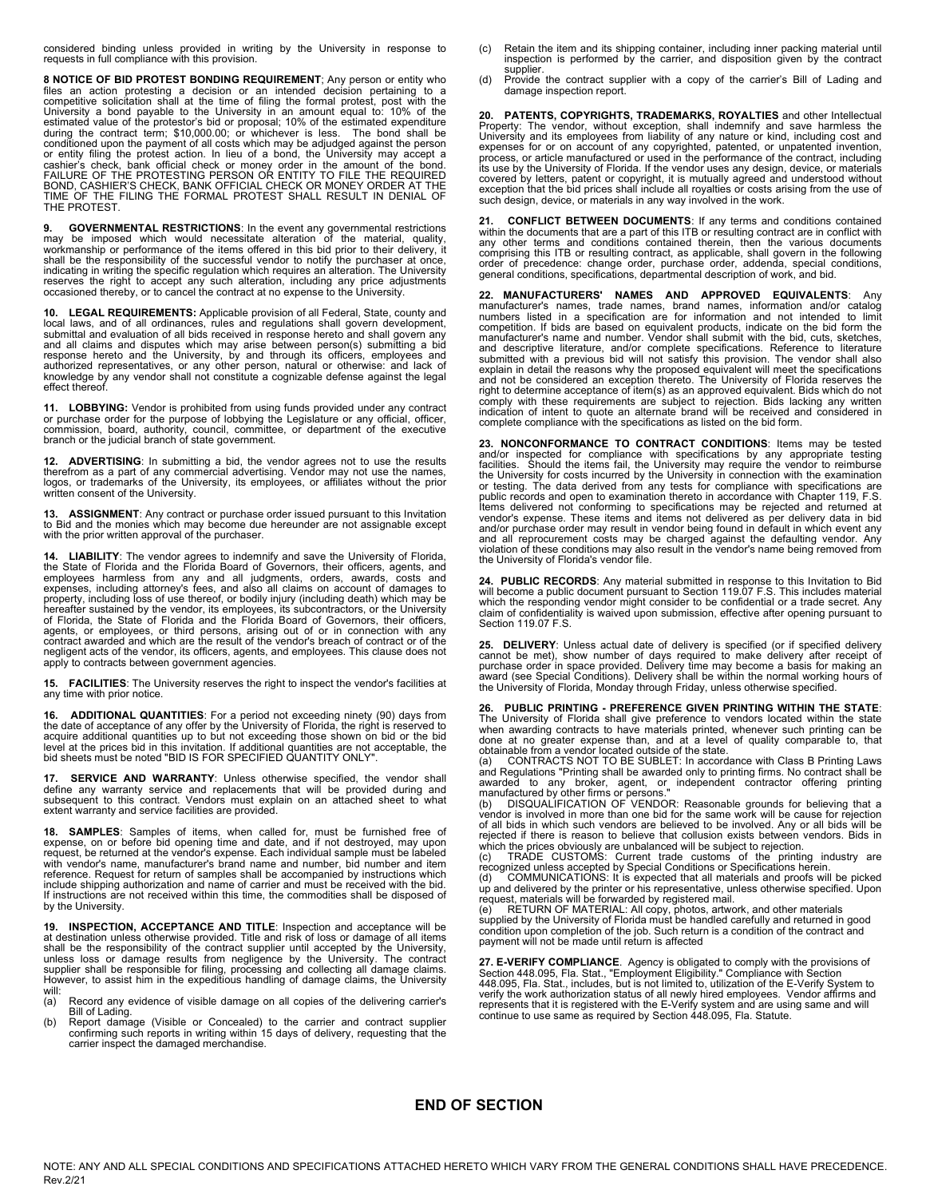considered binding unless provided in writing by the University in response to requests in full compliance with this provision.

**8 NOTICE OF BID PROTEST BONDING REQUIREMENT**; Any person or entity who files an action protesting a decision or an intended decision pertaining to a competitive solicitation shall at the time of filing the formal protest, post with the University a bond payable to the University in an amount or entity filing the protest action. In lieu of a bond, the University may accept a<br>cashier's check, bank official check or money order in the amount of the bond.<br>FAILURE OF THE PROTESTING PERSON OR ENTITY TO FILE THE REQU TIME OF THE FILING THE FORMAL PROTEST SHALL RESULT IN DENIAL OF THE PROTEST.

**9. GOVERNMENTAL RESTRICTIONS:** In the event any governmental restrictions may be imposed which would necessitate alteration of the material, quality, workmanship or performance of the items offered in this bid prior to th indicating in writing the specific regulation which requires an alteration. The University reserves the right to accept any such alteration, including any price adjustments occasioned thereby, or to cancel the contract at no expense to the University.

**10. LEGAL REQUIREMENTS:** Applicable provision of all Federal, State, county and local laws, and of all ordinances, rules and regulations shall govern development, submittal and evaluation of all bids received in response hereto and shall govern any and all claims and disputes which may arise between person(s) submitting a bid<br>response hereto and the University, by and through its officers, employees and<br>authorized representatives, or any other person, natural or othe effect thereof.

**11. LOBBYING:** Vendor is prohibited from using funds provided under any contract or purchase order for the purpose of lobbying the Legislature or any official, officer, commission, board, authority, council, committee, or department of the executive branch or the judicial branch of state government.

**12. ADVERTISING**: In submitting a bid, the vendor agrees not to use the results therefrom as a part of any commercial advertising. Vendor may not use the names, logos, or trademarks of the University, its employees, or affiliates without the prior written consent of the University.

**13. ASSIGNMENT**: Any contract or purchase order issued pursuant to this Invitation<br>to Bid and the monies which may become due hereunder are not assignable except<br>with the prior written approval of the purchaser.

**14. LIABILITY**: The vendor agrees to indemnify and save the University of Florida, the State of Florida and the Florida Board of Governors, their officers, agents, and employees harmless from any and all judgments, orders, awards, costs and expenses, including attorney's fees, and also all claims on account of damages to property, including loss of use thereof, or bodily injury (including death) which may be hereafter sustained by the vendor, its employees, its subcontractors, or the University of Florida, the State of Florida and the Florida Board of Governors, their officers, agents, or employees, or third persons, arising out of or in connection with any contract awarded and which are the result of the vendor's breach of contract or of the negligent acts of the vendor, its officers, agents, and employees. This clause does not apply to contracts between government agencies.

**15. FACILITIES**: The University reserves the right to inspect the vendor's facilities at any time with prior notice.

**16. ADDITIONAL QUANTITIES**: For a period not exceeding ninety (90) days from the date of acceptance of any offer by the University of Florida, the right is reserved to acquire additional quantities up to but not exceeding those shown on bid or the bid<br>level at the prices bid in this invitation. If additional quantities are not acceptable, the<br>bid sheets must be noted "BID IS FOR SPECIFIE

**SERVICE AND WARRANTY:** Unless otherwise specified, the vendor shall define any warranty service and replacements that will be provided during and<br>subsequent to this contract. Vendors must explain on an attached sheet to what<br>extent warranty and service facilities are provided.

**18. SAMPLES**: Samples of items, when called for, must be furnished free of expense, on or before bid opening time and date, and if not destroyed, may upon request, be returned at the vendor's expense. Each individual sample must be labeled with vendor's name, manufacturer's brand name and number, bid number and item reference. Request for return of samples shall be accompanied by instructions which include shipping authorization and name of carrier and must be received with the bid. If instructions are not received within this time, the commodities shall be disposed of by the University.

**19. INSPECTION, ACCEPTANCE AND TITLE**: Inspection and acceptance will be at destination unless otherwise provided. Title and risk of loss or damage of all items shall be the responsibility of the contract supplier until accepted by the University, unless loss or damage results from negligence by the University. The contract<br>supplier shall be responsible for filing, processing and collecting all damage claims.<br>However, to assist him in the expeditious handling of dam will:<br>(a)

Record any evidence of visible damage on all copies of the delivering carrier's Bill of Lading.

(b) Report damage (Visible or Concealed) to the carrier and contract supplier confirming such reports in writing within 15 days of delivery, requesting that the carrier inspect the damaged merchandise.

- (c) Retain the item and its shipping container, including inner packing material until inspection is performed by the carrier, and disposition given by the contract supplier.
- (d) Provide the contract supplier with a copy of the carrier's Bill of Lading and damage inspection report.

**20. PATENTS, COPYRIGHTS, TRADEMARKS, ROYALTIES** and other Intellectual<br>Property: The vendor, without exception, shall indemnify and save harmless the<br>University and its employees from liability of any nature or kind, incl expenses for or on account of any copyrighted, patented, or unpatented invention, process, or article manufactured or used in the performance of the contract, including its use by the University of Florida. If the vendor uses any design, device, or materials covered by letters, patent or copyright, it is mutually agreed and understood without exception that the bid prices shall include all royalties or costs arising from the use of such design, device, or materials in any way involved in the work.

**21. CONFLICT BETWEEN DOCUMENTS**: If any terms and conditions contained within the documents that are a part of this ITB or resulting contract are in conflict with any other terms and conditions contained therein, then the various documents<br>comprising this ITB or resulting contract, as applicable, shall govern in the following<br>order of precedence: change order, purchase order, addend general conditions, specifications, departmental description of work, and bid.

**22. MANUFACTURERS' NAMES AND APPROVED EQUIVALENTS**: Any manufacturer's names, trade names, brand names, information and/or catalog numbers listed in a specification are for information and not intended to limit competition. If bids are based on equivalent products, indicate on the bid form the manufacturer's name and number. Vendor shall submit with the bid, cuts, sketches, and descriptive literature, and/or complete specifications. Reference to literature submitted with a previous bid will not satisfy this provision. The vendor shall also explain in detail the reasons why the proposed equivalent will meet the specifications and not be considered an exception thereto. The University of Florida reserves the right to determine acceptance of item(s) as an approved equivalent. Bids which do not comply with these requirements are subject to rejection. Bids lacking any written indication of intent to quote an alternate brand will be received and considered in complete compliance with the specifications as listed on the bid form.

**23. NONCONFORMANCE TO CONTRACT CONDITIONS**: Items may be tested and/or inspected for compliance with specifications by any appropriate testing<br>facilities. Should the items fail, the University may require the vendor to reimburse<br>the University for costs incurred by the University in co or testing. The data derived from any tests for compliance with specifications are public records and open to examination thereto in accordance with Chapter 119, F.S. Items delivered not conforming to specifications may be rejected and returned at vendor's expense. These items and items not delivered as per delivery data in bid<br>and/or purchase order may result in vendor being found in default in which event any<br>and all reprocurement costs may be charged against the violation of these conditions may also result in the vendor's name being removed from the University of Florida's vendor file.

**24. PUBLIC RECORDS**: Any material submitted in response to this Invitation to Bid will become a public document pursuant to Section 119.07 F.S. This includes material which the responding vendor might consider to be confidential or a trade secret. Any claim of confidentiality is waived upon submission, effective after opening pursuant to Section 119.07 F.S.

**25. DELIVERY**: Unless actual date of delivery is specified (or if specified delivery<br>cannot be met), show number of days required to make delivery after receipt of<br>purchase order in space provided. Delivery time may beco award (see Special Conditions). Delivery shall be within the normal working hours of the University of Florida, Monday through Friday, unless otherwise specified.

**26. PUBLIC PRINTING - PREFERENCE GIVEN PRINTING WITHIN THE STATE**: The University of Florida shall give preference to vendors located within the state when awarding contracts to have materials printed, whenever such printing can be done at no greater expense than, and at a level of quality comparable to, that obtainable from a vendor located outside of the state.<br>
(a) CONTRACTS NOT TO BE SUBLET: In accordance with Class B Printing Laws

(a) CONTRACTS NOT TO BE SUBLET: In accordance with Class B Printing Laws<br>and Regulations "Printing shall be awarded only to printing firms. No contract shall be<br>awarded to any broker, agent, or independent contractor offer

of all bids in which such vendors are believed to be involved. Any or all bids will be rejected if there is reason to believe that collusion exists between vendors. Bids in

which the prices obviously are unbalanced will be subject to rejection.<br>(c) TRADE CUSTOMS: Current trade customs of the printing industry are<br>recognized unless accepted by Special Conditions or Specifications herein.<br>(d)

up and delivered by the printer or his representative, unless otherwise specified. Upon<br>request, materials will be forwarded by registered mail.<br>(e) RETURN OF MATERIAL: All copy, photos, artwork, and other materials<br>suppl

condition upon completion of the job. Such return is a condition of the contract and payment will not be made until return is affected

**27. E-VERIFY COMPLIANCE**. Agency is obligated to comply with the provisions of<br>Section 448.095, Fla. Stat., "Employment Eligibility." Compliance with Section<br>448.095, Fla. Stat., includes, but is not limited to, utilizat verify the work authorization status of all newly hired employees. Vendor affirms and<br>represents that it is registered with the E-Verify system and are using same and will<br>continue to use same as required by Section 448.0

## **END OF SECTION**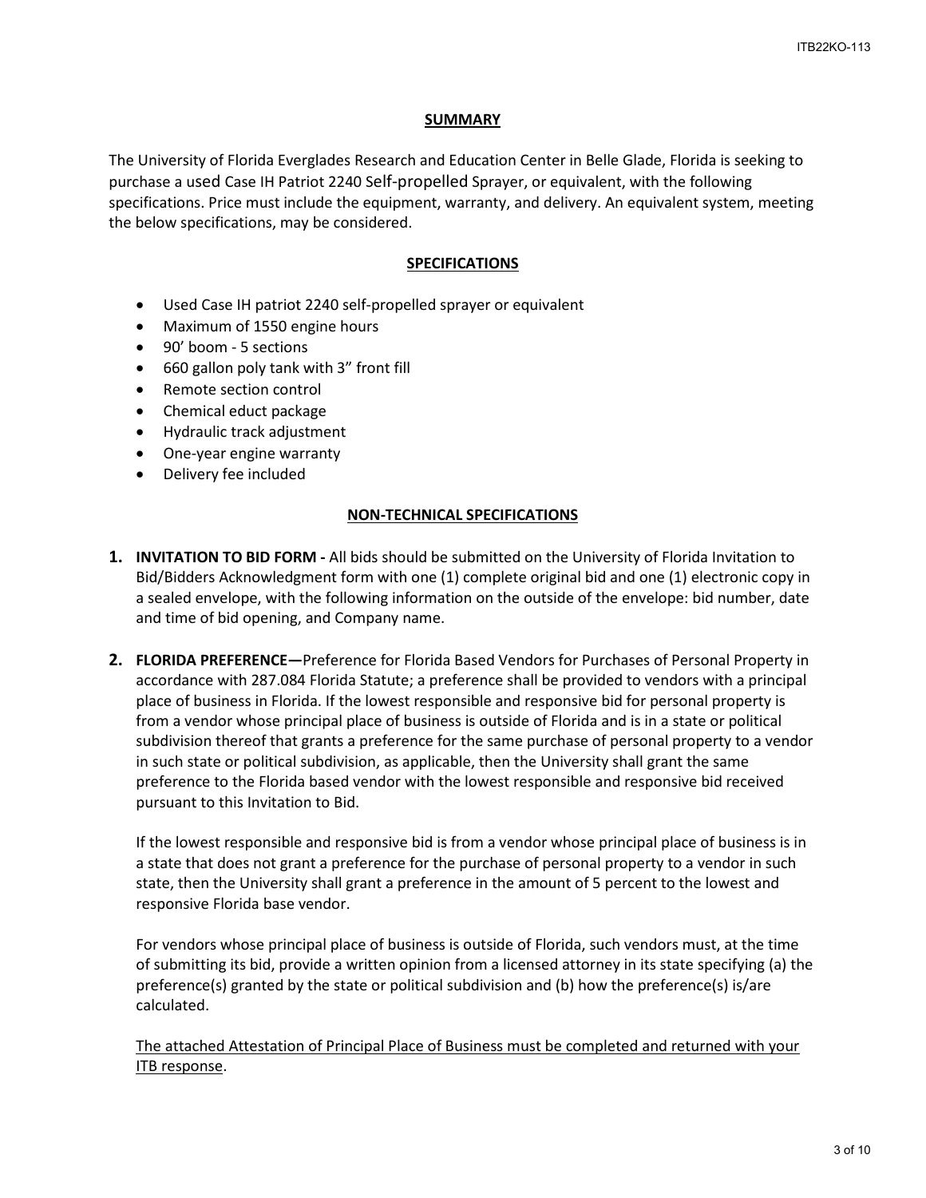#### **SUMMARY**

The University of Florida Everglades Research and Education Center in Belle Glade, Florida is seeking to purchase a used Case IH Patriot 2240 Self-propelled Sprayer, or equivalent, with the following specifications. Price must include the equipment, warranty, and delivery. An equivalent system, meeting the below specifications, may be considered.

#### **SPECIFICATIONS**

- Used Case IH patriot 2240 self-propelled sprayer or equivalent
- Maximum of 1550 engine hours
- 90' boom 5 sections
- 660 gallon poly tank with 3" front fill
- Remote section control
- Chemical educt package
- Hydraulic track adjustment
- One-year engine warranty
- Delivery fee included

## **NON-TECHNICAL SPECIFICATIONS**

- **1. INVITATION TO BID FORM** All bids should be submitted on the University of Florida Invitation to Bid/Bidders Acknowledgment form with one (1) complete original bid and one (1) electronic copy in a sealed envelope, with the following information on the outside of the envelope: bid number, date and time of bid opening, and Company name.
- **2. FLORIDA PREFERENCE—**Preference for Florida Based Vendors for Purchases of Personal Property in accordance with 287.084 Florida Statute; a preference shall be provided to vendors with a principal place of business in Florida. If the lowest responsible and responsive bid for personal property is from a vendor whose principal place of business is outside of Florida and is in a state or political subdivision thereof that grants a preference for the same purchase of personal property to a vendor in such state or political subdivision, as applicable, then the University shall grant the same preference to the Florida based vendor with the lowest responsible and responsive bid received pursuant to this Invitation to Bid.

If the lowest responsible and responsive bid is from a vendor whose principal place of business is in a state that does not grant a preference for the purchase of personal property to a vendor in such state, then the University shall grant a preference in the amount of 5 percent to the lowest and responsive Florida base vendor.

For vendors whose principal place of business is outside of Florida, such vendors must, at the time of submitting its bid, provide a written opinion from a licensed attorney in its state specifying (a) the preference(s) granted by the state or political subdivision and (b) how the preference(s) is/are calculated.

The attached Attestation of Principal Place of Business must be completed and returned with your ITB response.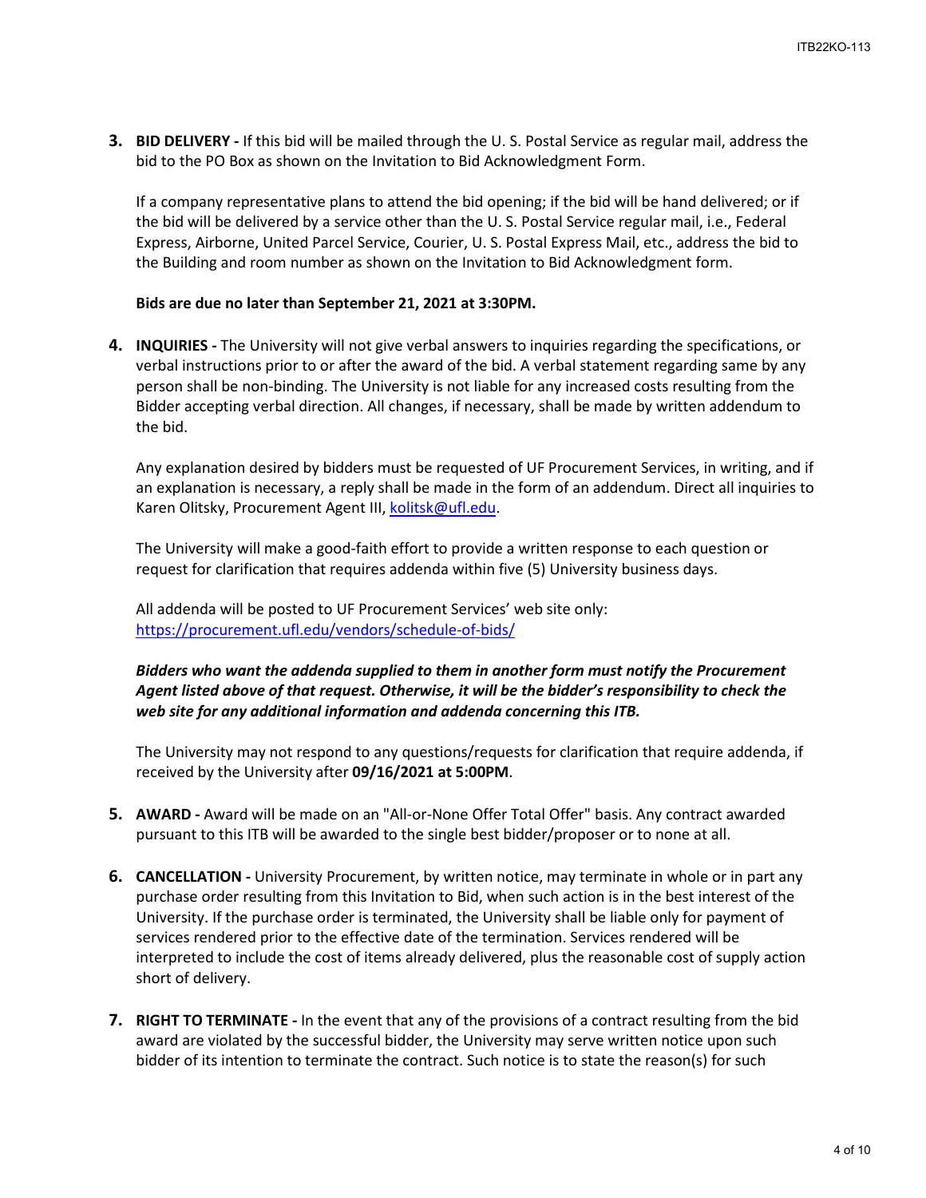**3. BID DELIVERY -** If this bid will be mailed through the U. S. Postal Service as regular mail, address the bid to the PO Box as shown on the Invitation to Bid Acknowledgment Form.

If a company representative plans to attend the bid opening; if the bid will be hand delivered; or if the bid will be delivered by a service other than the U. S. Postal Service regular mail, i.e., Federal Express, Airborne, United Parcel Service, Courier, U. S. Postal Express Mail, etc., address the bid to the Building and room number as shown on the Invitation to Bid Acknowledgment form.

### **Bids are due no later than September 21, 2021 at 3:30PM.**

**4. INQUIRIES -** The University will not give verbal answers to inquiries regarding the specifications, or verbal instructions prior to or after the award of the bid. A verbal statement regarding same by any person shall be non-binding. The University is not liable for any increased costs resulting from the Bidder accepting verbal direction. All changes, if necessary, shall be made by written addendum to the bid.

Any explanation desired by bidders must be requested of UF Procurement Services, in writing, and if an explanation is necessary, a reply shall be made in the form of an addendum. Direct all inquiries to Karen Olitsky, Procurement Agent III, [kolitsk@ufl.edu.](mailto:kolitsk@ufl.edu)

The University will make a good-faith effort to provide a written response to each question or request for clarification that requires addenda within five (5) University business days.

All addenda will be posted to UF Procurement Services' web site only: <https://procurement.ufl.edu/vendors/schedule-of-bids/>

## *Bidders who want the addenda supplied to them in another form must notify the Procurement Agent listed above of that request. Otherwise, it will be the bidder's responsibility to check the web site for any additional information and addenda concerning this ITB.*

The University may not respond to any questions/requests for clarification that require addenda, if received by the University after **09/16/2021 at 5:00PM**.

- **5. AWARD -** Award will be made on an "All-or-None Offer Total Offer" basis. Any contract awarded pursuant to this ITB will be awarded to the single best bidder/proposer or to none at all.
- **6. CANCELLATION -** University Procurement, by written notice, may terminate in whole or in part any purchase order resulting from this Invitation to Bid, when such action is in the best interest of the University. If the purchase order is terminated, the University shall be liable only for payment of services rendered prior to the effective date of the termination. Services rendered will be interpreted to include the cost of items already delivered, plus the reasonable cost of supply action short of delivery.
- **7. RIGHT TO TERMINATE -** In the event that any of the provisions of a contract resulting from the bid award are violated by the successful bidder, the University may serve written notice upon such bidder of its intention to terminate the contract. Such notice is to state the reason(s) for such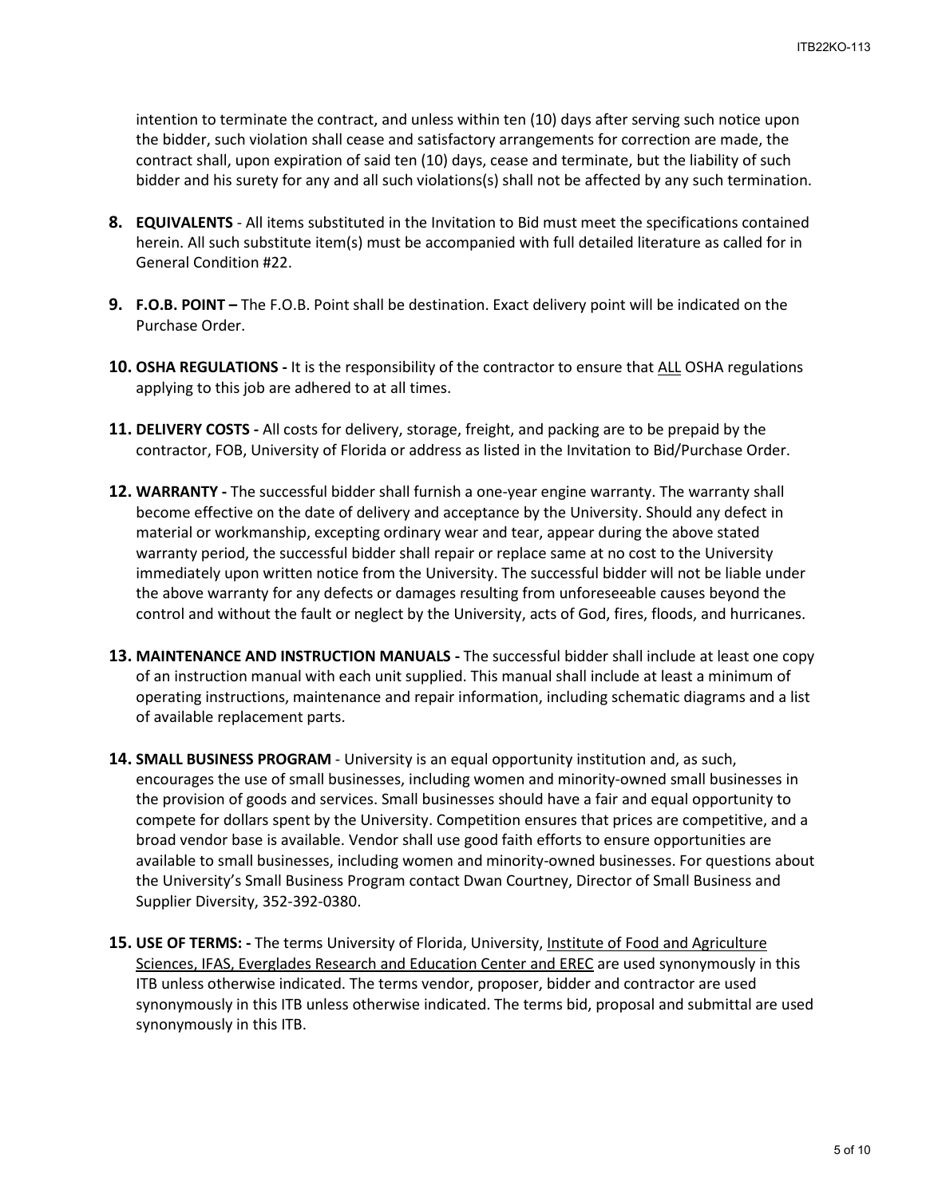intention to terminate the contract, and unless within ten (10) days after serving such notice upon the bidder, such violation shall cease and satisfactory arrangements for correction are made, the contract shall, upon expiration of said ten (10) days, cease and terminate, but the liability of such bidder and his surety for any and all such violations(s) shall not be affected by any such termination.

- **8. EQUIVALENTS** All items substituted in the Invitation to Bid must meet the specifications contained herein. All such substitute item(s) must be accompanied with full detailed literature as called for in General Condition #22.
- **9. F.O.B. POINT** The F.O.B. Point shall be destination. Exact delivery point will be indicated on the Purchase Order.
- **10. OSHA REGULATIONS** It is the responsibility of the contractor to ensure that ALL OSHA regulations applying to this job are adhered to at all times.
- **11. DELIVERY COSTS** All costs for delivery, storage, freight, and packing are to be prepaid by the contractor, FOB, University of Florida or address as listed in the Invitation to Bid/Purchase Order.
- **12. WARRANTY** The successful bidder shall furnish a one-year engine warranty. The warranty shall become effective on the date of delivery and acceptance by the University. Should any defect in material or workmanship, excepting ordinary wear and tear, appear during the above stated warranty period, the successful bidder shall repair or replace same at no cost to the University immediately upon written notice from the University. The successful bidder will not be liable under the above warranty for any defects or damages resulting from unforeseeable causes beyond the control and without the fault or neglect by the University, acts of God, fires, floods, and hurricanes.
- **13. MAINTENANCE AND INSTRUCTION MANUALS** The successful bidder shall include at least one copy of an instruction manual with each unit supplied. This manual shall include at least a minimum of operating instructions, maintenance and repair information, including schematic diagrams and a list of available replacement parts.
- **14. SMALL BUSINESS PROGRAM**  University is an equal opportunity institution and, as such, encourages the use of small businesses, including women and minority-owned small businesses in the provision of goods and services. Small businesses should have a fair and equal opportunity to compete for dollars spent by the University. Competition ensures that prices are competitive, and a broad vendor base is available. Vendor shall use good faith efforts to ensure opportunities are available to small businesses, including women and minority-owned businesses. For questions about the University's Small Business Program contact Dwan Courtney, Director of Small Business and Supplier Diversity, 352-392-0380.
- **15. USE OF TERMS:** The terms University of Florida, University, Institute of Food and Agriculture Sciences, IFAS, Everglades Research and Education Center and EREC are used synonymously in this ITB unless otherwise indicated. The terms vendor, proposer, bidder and contractor are used synonymously in this ITB unless otherwise indicated. The terms bid, proposal and submittal are used synonymously in this ITB.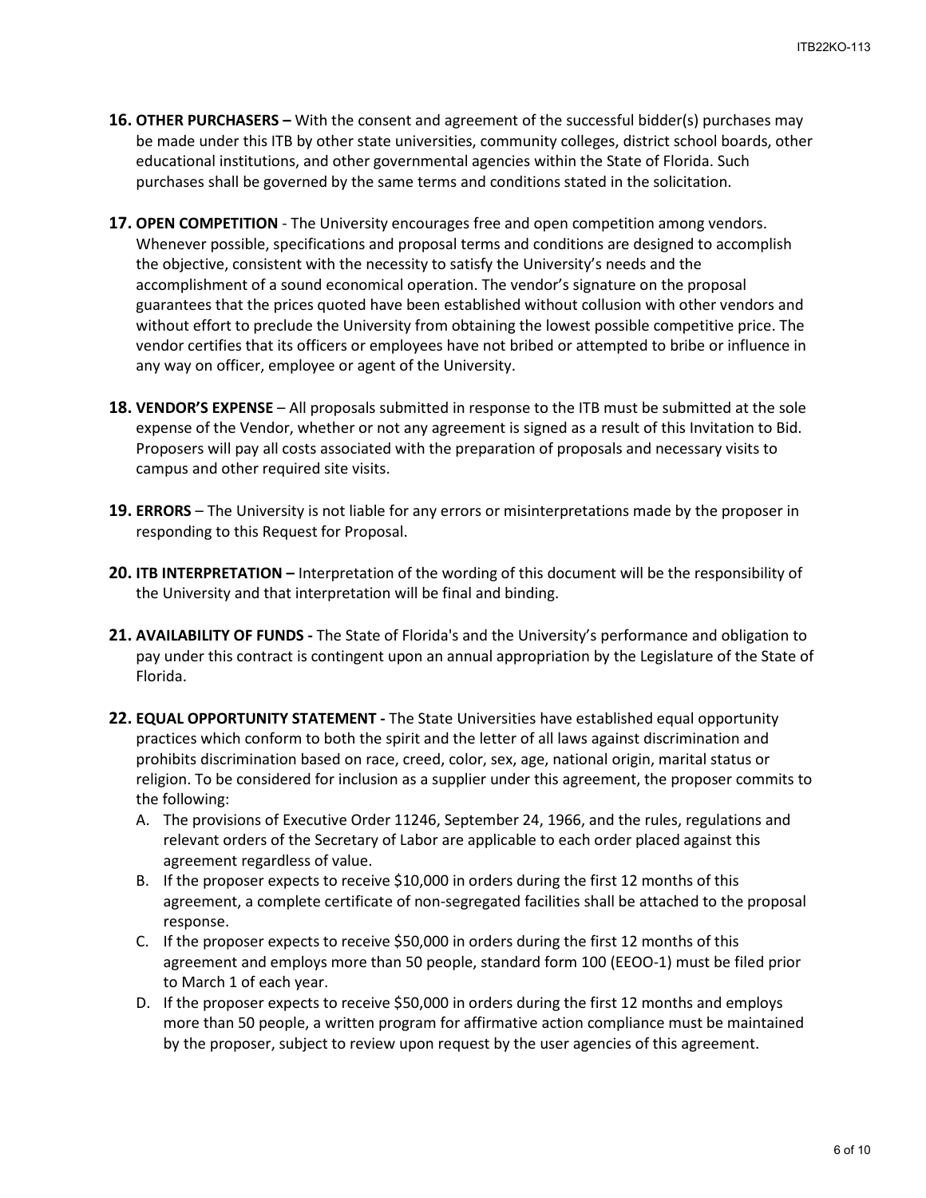- **16. OTHER PURCHASERS** With the consent and agreement of the successful bidder(s) purchases may be made under this ITB by other state universities, community colleges, district school boards, other educational institutions, and other governmental agencies within the State of Florida. Such purchases shall be governed by the same terms and conditions stated in the solicitation.
- **17. OPEN COMPETITION** The University encourages free and open competition among vendors. Whenever possible, specifications and proposal terms and conditions are designed to accomplish the objective, consistent with the necessity to satisfy the University's needs and the accomplishment of a sound economical operation. The vendor's signature on the proposal guarantees that the prices quoted have been established without collusion with other vendors and without effort to preclude the University from obtaining the lowest possible competitive price. The vendor certifies that its officers or employees have not bribed or attempted to bribe or influence in any way on officer, employee or agent of the University.
- **18. VENDOR'S EXPENSE**  All proposals submitted in response to the ITB must be submitted at the sole expense of the Vendor, whether or not any agreement is signed as a result of this Invitation to Bid. Proposers will pay all costs associated with the preparation of proposals and necessary visits to campus and other required site visits.
- **19. ERRORS**  The University is not liable for any errors or misinterpretations made by the proposer in responding to this Request for Proposal.
- **20. ITB INTERPRETATION** Interpretation of the wording of this document will be the responsibility of the University and that interpretation will be final and binding.
- **21. AVAILABILITY OF FUNDS -** The State of Florida's and the University's performance and obligation to pay under this contract is contingent upon an annual appropriation by the Legislature of the State of Florida.
- **22. EQUAL OPPORTUNITY STATEMENT** The State Universities have established equal opportunity practices which conform to both the spirit and the letter of all laws against discrimination and prohibits discrimination based on race, creed, color, sex, age, national origin, marital status or religion. To be considered for inclusion as a supplier under this agreement, the proposer commits to the following:
	- A. The provisions of Executive Order 11246, September 24, 1966, and the rules, regulations and relevant orders of the Secretary of Labor are applicable to each order placed against this agreement regardless of value.
	- B. If the proposer expects to receive \$10,000 in orders during the first 12 months of this agreement, a complete certificate of non-segregated facilities shall be attached to the proposal response.
	- C. If the proposer expects to receive \$50,000 in orders during the first 12 months of this agreement and employs more than 50 people, standard form 100 (EEOO-1) must be filed prior to March 1 of each year.
	- D. If the proposer expects to receive \$50,000 in orders during the first 12 months and employs more than 50 people, a written program for affirmative action compliance must be maintained by the proposer, subject to review upon request by the user agencies of this agreement.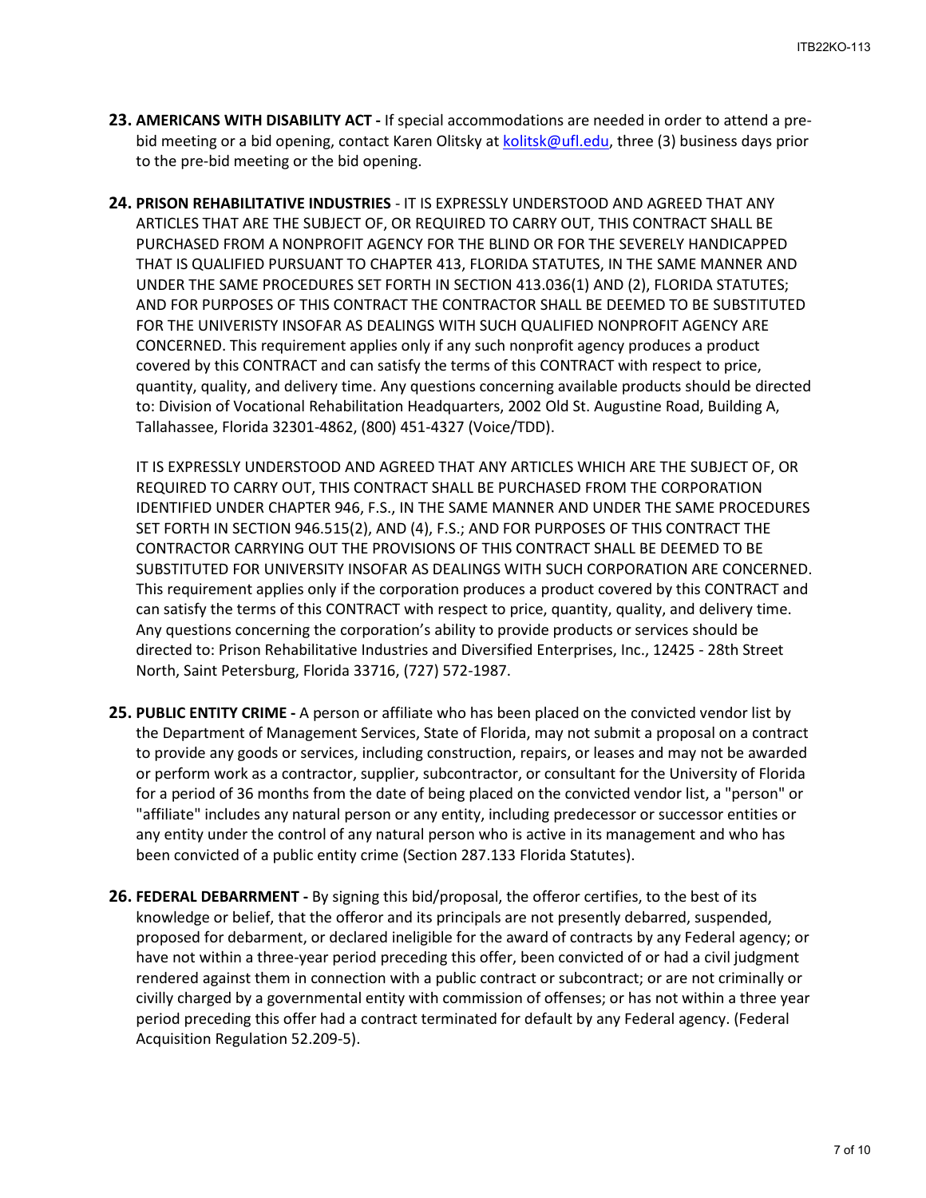- **23. AMERICANS WITH DISABILITY ACT** If special accommodations are needed in order to attend a prebid meeting or a bid opening, contact Karen Olitsky a[t kolitsk@ufl.edu,](mailto:kolitsk@ufl.edu) three (3) business days prior to the pre-bid meeting or the bid opening.
- **24. PRISON REHABILITATIVE INDUSTRIES** IT IS EXPRESSLY UNDERSTOOD AND AGREED THAT ANY ARTICLES THAT ARE THE SUBJECT OF, OR REQUIRED TO CARRY OUT, THIS CONTRACT SHALL BE PURCHASED FROM A NONPROFIT AGENCY FOR THE BLIND OR FOR THE SEVERELY HANDICAPPED THAT IS QUALIFIED PURSUANT TO CHAPTER 413, FLORIDA STATUTES, IN THE SAME MANNER AND UNDER THE SAME PROCEDURES SET FORTH IN SECTION 413.036(1) AND (2), FLORIDA STATUTES; AND FOR PURPOSES OF THIS CONTRACT THE CONTRACTOR SHALL BE DEEMED TO BE SUBSTITUTED FOR THE UNIVERISTY INSOFAR AS DEALINGS WITH SUCH QUALIFIED NONPROFIT AGENCY ARE CONCERNED. This requirement applies only if any such nonprofit agency produces a product covered by this CONTRACT and can satisfy the terms of this CONTRACT with respect to price, quantity, quality, and delivery time. Any questions concerning available products should be directed to: Division of Vocational Rehabilitation Headquarters, 2002 Old St. Augustine Road, Building A, Tallahassee, Florida 32301-4862, (800) 451-4327 (Voice/TDD).

IT IS EXPRESSLY UNDERSTOOD AND AGREED THAT ANY ARTICLES WHICH ARE THE SUBJECT OF, OR REQUIRED TO CARRY OUT, THIS CONTRACT SHALL BE PURCHASED FROM THE CORPORATION IDENTIFIED UNDER CHAPTER 946, F.S., IN THE SAME MANNER AND UNDER THE SAME PROCEDURES SET FORTH IN SECTION 946.515(2), AND (4), F.S.; AND FOR PURPOSES OF THIS CONTRACT THE CONTRACTOR CARRYING OUT THE PROVISIONS OF THIS CONTRACT SHALL BE DEEMED TO BE SUBSTITUTED FOR UNIVERSITY INSOFAR AS DEALINGS WITH SUCH CORPORATION ARE CONCERNED. This requirement applies only if the corporation produces a product covered by this CONTRACT and can satisfy the terms of this CONTRACT with respect to price, quantity, quality, and delivery time. Any questions concerning the corporation's ability to provide products or services should be directed to: Prison Rehabilitative Industries and Diversified Enterprises, Inc., 12425 - 28th Street North, Saint Petersburg, Florida 33716, (727) 572-1987.

- **25. PUBLIC ENTITY CRIME -** A person or affiliate who has been placed on the convicted vendor list by the Department of Management Services, State of Florida, may not submit a proposal on a contract to provide any goods or services, including construction, repairs, or leases and may not be awarded or perform work as a contractor, supplier, subcontractor, or consultant for the University of Florida for a period of 36 months from the date of being placed on the convicted vendor list, a "person" or "affiliate" includes any natural person or any entity, including predecessor or successor entities or any entity under the control of any natural person who is active in its management and who has been convicted of a public entity crime (Section 287.133 Florida Statutes).
- **26. FEDERAL DEBARRMENT** By signing this bid/proposal, the offeror certifies, to the best of its knowledge or belief, that the offeror and its principals are not presently debarred, suspended, proposed for debarment, or declared ineligible for the award of contracts by any Federal agency; or have not within a three-year period preceding this offer, been convicted of or had a civil judgment rendered against them in connection with a public contract or subcontract; or are not criminally or civilly charged by a governmental entity with commission of offenses; or has not within a three year period preceding this offer had a contract terminated for default by any Federal agency. (Federal Acquisition Regulation 52.209-5).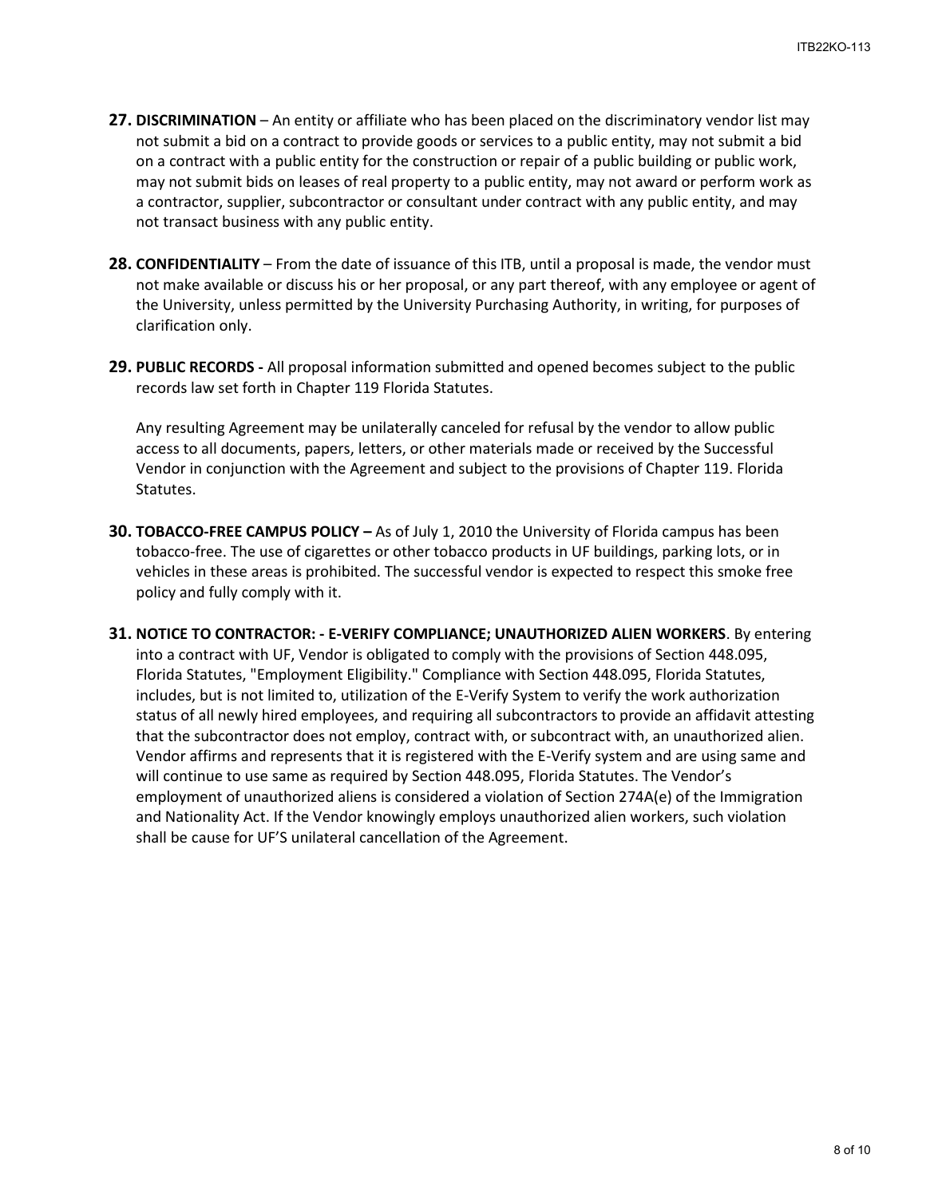- **27. DISCRIMINATION** An entity or affiliate who has been placed on the discriminatory vendor list may not submit a bid on a contract to provide goods or services to a public entity, may not submit a bid on a contract with a public entity for the construction or repair of a public building or public work, may not submit bids on leases of real property to a public entity, may not award or perform work as a contractor, supplier, subcontractor or consultant under contract with any public entity, and may not transact business with any public entity.
- **28. CONFIDENTIALITY**  From the date of issuance of this ITB, until a proposal is made, the vendor must not make available or discuss his or her proposal, or any part thereof, with any employee or agent of the University, unless permitted by the University Purchasing Authority, in writing, for purposes of clarification only.
- **29. PUBLIC RECORDS** All proposal information submitted and opened becomes subject to the public records law set forth in Chapter 119 Florida Statutes.

Any resulting Agreement may be unilaterally canceled for refusal by the vendor to allow public access to all documents, papers, letters, or other materials made or received by the Successful Vendor in conjunction with the Agreement and subject to the provisions of Chapter 119. Florida Statutes.

- **30. TOBACCO-FREE CAMPUS POLICY** As of July 1, 2010 the University of Florida campus has been tobacco-free. The use of cigarettes or other tobacco products in UF buildings, parking lots, or in vehicles in these areas is prohibited. The successful vendor is expected to respect this smoke free policy and fully comply with it.
- **31. NOTICE TO CONTRACTOR: E-VERIFY COMPLIANCE; UNAUTHORIZED ALIEN WORKERS**. By entering into a contract with UF, Vendor is obligated to comply with the provisions of Section 448.095, Florida Statutes, "Employment Eligibility." Compliance with Section 448.095, Florida Statutes, includes, but is not limited to, utilization of the E-Verify System to verify the work authorization status of all newly hired employees, and requiring all subcontractors to provide an affidavit attesting that the subcontractor does not employ, contract with, or subcontract with, an unauthorized alien. Vendor affirms and represents that it is registered with the E-Verify system and are using same and will continue to use same as required by Section 448.095, Florida Statutes. The Vendor's employment of unauthorized aliens is considered a violation of Section 274A(e) of the Immigration and Nationality Act. If the Vendor knowingly employs unauthorized alien workers, such violation shall be cause for UF'S unilateral cancellation of the Agreement.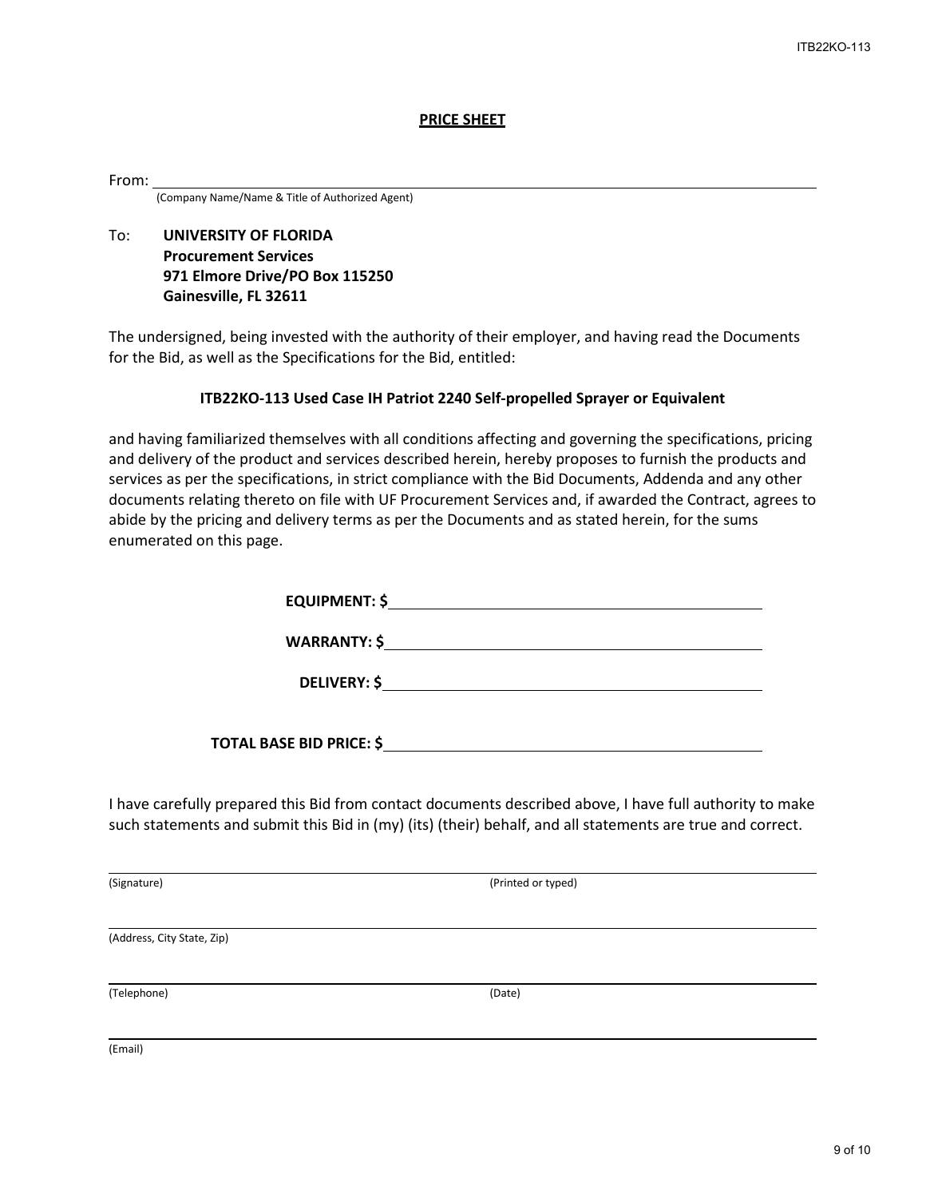#### **PRICE SHEET**

#### From:

(Company Name/Name & Title of Authorized Agent)

## To: **UNIVERSITY OF FLORIDA Procurement Services 971 Elmore Drive/PO Box 115250 Gainesville, FL 32611**

The undersigned, being invested with the authority of their employer, and having read the Documents for the Bid, as well as the Specifications for the Bid, entitled:

### **ITB22KO-113 Used Case IH Patriot 2240 Self-propelled Sprayer or Equivalent**

and having familiarized themselves with all conditions affecting and governing the specifications, pricing and delivery of the product and services described herein, hereby proposes to furnish the products and services as per the specifications, in strict compliance with the Bid Documents, Addenda and any other documents relating thereto on file with UF Procurement Services and, if awarded the Contract, agrees to abide by the pricing and delivery terms as per the Documents and as stated herein, for the sums enumerated on this page.

| <b>EQUIPMENT: \$</b>     |                     |
|--------------------------|---------------------|
|                          | WARRANTY: $\oint$   |
|                          | <b>DELIVERY: \$</b> |
| TOTAL BASE BID PRICE: \$ |                     |

I have carefully prepared this Bid from contact documents described above, I have full authority to make such statements and submit this Bid in (my) (its) (their) behalf, and all statements are true and correct.

(Signature) (Printed or typed)

(Address, City State, Zip)

(Telephone) (Date)

(Email)